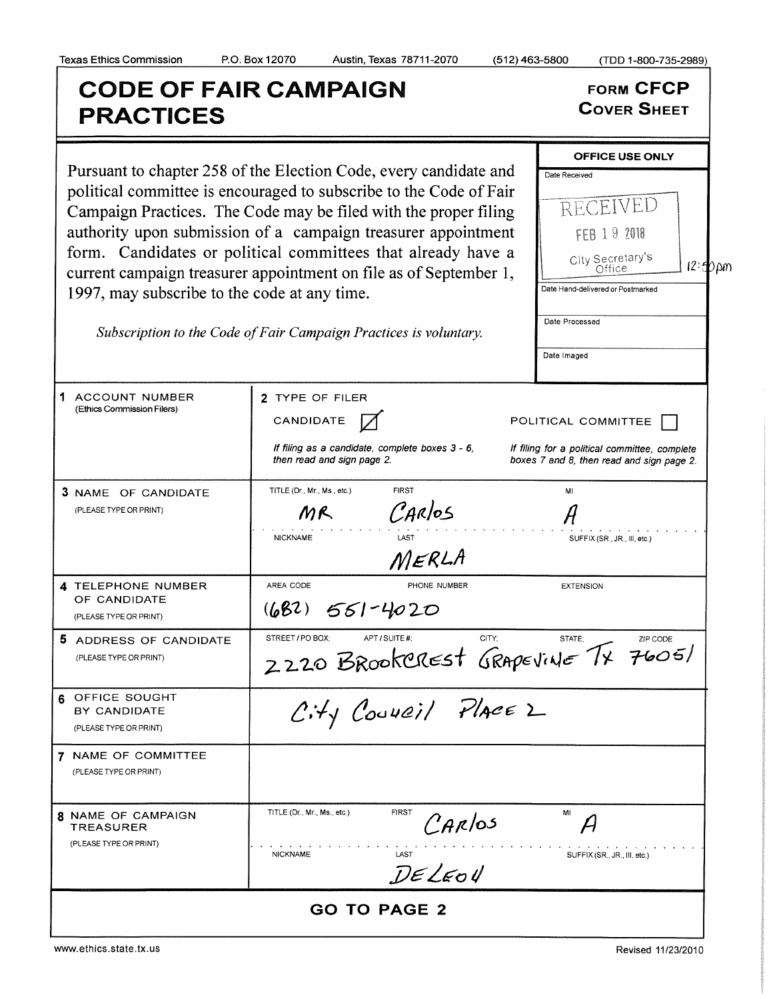## Texas Ethics Commission P.O. Box 12070 Austin, Texas 78711- 2070 ( 512) 463-5800 ( TDD 1- 800-735-2989) CODE OF FAIR CAMPAIGN<br>
BRACTICES<br>
COVER SHEET **PRACTICES** OFFICE USE ONLY Pursuant to chapter 258 of the Election Code, every candidate and  $\Gamma_{\text{Date Received}}$ political committee is encouraged to subscribe to the Code of Fair Campaign Practices. The Code may be filed with the proper filing  $RECEIVED$ authority upon submission of a campaign treasurer appointment  $\|\cdot\|$ form. Candidates or political committees that already have a  $\Big|$  City Secretary's  $12:$  D  $\mu$ m current campaign treasurer appointment on file as of September 1, Date Hand -delivered or Postmarked 1997, may subscribe to the code at any time. Date Processed Subscription to the Code of Fair Campaign Practices is voluntary. Date Imaged 1 ACCOUNT NUMBER 2 TYPE OF FILER Ethics Commission Filers) CANDIDATE POLITICAL COMMITTEE If filing as a candidate, complete boxes  $3 - 6$ , If filing for a political committee, complete then read and sign page 2. boxes 7 and 8, then read and sign page 2. **3 NAME OF CANDIDATE** TITLE (Dr., Mr., Ms., etc.) FIRST FIRST MI CARlos PLEASE TYPE OR PRINT)  $MR$ NICKNAME LAST LAST SUFFIX (SR., JR., III, etc.) MERLA A CODE PHONE I<br>**62**) <del>661-40</del>20 4 TELEPHONE NUMBER REA CODE PHONE NUMBER EXTENSION OF CANDIDATE PLEASE TYPE OR PRINT) S ADDRESS OF CANDIDATE STREET/PO BOX; APT/SUITE #; CITY; STATE; ZIP CODE  $7605/$ PLEASE TYPE OR PRINT)  $2\,$ **6** OFFICE SOUGHT<br>BY CANDIDATE OFFICE SOUGHT<br>BY CANDIDATE  $\left\langle \begin{array}{cc} f \cdot f \end{array} \right\rangle$  Council Place 2 PLEASE TYPE OR PRINT) 7 NAME OF COMMITTEE PLEASE TYPE OR PRINT) 8 NAME OF CAMPAIGN TITLE (Dr., Mr., Ms., etc.) FIRST<br>TREASURER MI NAME OF CAMPAIGN TITLE (Dr., Mr., Ms., etc.) FIRST  $\mathcal{C}_{\mathcal{A}\mathcal{K}}/0.5$  MI  $\mathcal{A}$ PLEASE TYPE OR PRINT) NICKNAME LAST SUFFIX (SR., JR., III, etc.) GO TO PAGE 2